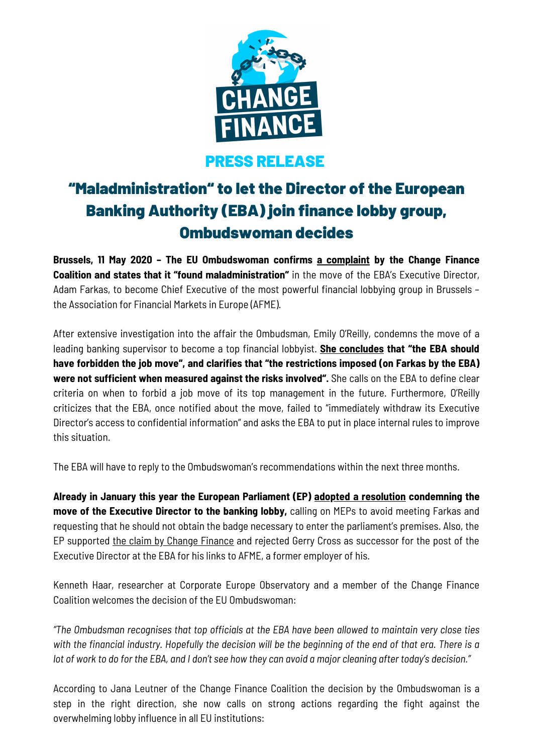

## PRESS RELEASE

# "Maladministration" to let the Director of the European Banking Authority (EBA) join finance lobby group, Ombudswoman decides

**Brussels, 11 May 2020 – The EU Ombudswoman confirms a [complaint](https://www.changefinance.org/wp-content/uploads/2019/11/Ombudsman-complaint-EBA-Farkas-case.pdf) by the Change Finance Coalition and states that it "found maladministration"** in the move of the EBA's Executive Director, Adam Farkas, to become Chief Executive of the most powerful financial lobbying group in Brussels – the Association for Financial Markets in Europe (AFME).

After extensive investigation into the affair the Ombudsman, Emily O'Reilly, condemns the move of a leading banking supervisor to become a top financial lobbyist. **She [concludes](https://www.ombudsman.europa.eu/en/press-release/en/127679) that "the EBA should have forbidden the job move", and clarifies that "the restrictions imposed (on Farkas by the EBA) were not sufficient when measured against the risks involved".** She calls on the EBA to define clear criteria on when to forbid a job move of its top management in the future. Furthermore, O'Reilly criticizes that the EBA, once notified about the move, failed to "immediately withdraw its Executive Director's access to confidential information" and asks the EBA to put in place internal rules to improve this situation.

The EBA will have to reply to the Ombudswoman's recommendations within the next three months.

**Already in January this year the European Parliament (EP) adopted a [resolution](https://www.europarl.europa.eu/doceo/document/TA-9-2020-0017_EN.html) condemning the move of the Executive Director to the banking lobby,** calling on MEPs to avoid meeting Farkas and requesting that he should not obtain the badge necessary to enter the parliament's premises. Also, the EP supported the claim by Change [Finance](https://www.changefinance.org/wp-content/uploads/2020/01/Open-Letter-Ex-lobbyist-should-not-be-director-of-the-EBA-1.pdf) and rejected Gerry Cross as successor for the post of the Executive Director at the EBA for his links to AFME, a former employer of his.

Kenneth Haar, researcher at Corporate Europe Observatory and a member of the Change Finance Coalition welcomes the decision of the EU Ombudswoman:

*"The Ombudsman recognises that top officials at the EBA have been allowed to maintain very close ties* with the financial industry. Hopefully the decision will be the beginning of the end of that era. There is a lot of work to do for the EBA, and I don't see how they can avoid a major cleaning after today's decision."

According to Jana Leutner of the Change Finance Coalition the decision by the Ombudswoman is a step in the right direction, she now calls on strong actions regarding the fight against the overwhelming lobby influence in all EU institutions: